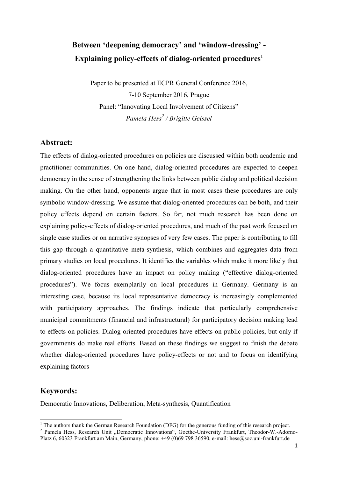# **Between 'deepening democracy' and 'window-dressing' - Explaining policy-effects of dialog-oriented procedures<sup>1</sup>**

Paper to be presented at ECPR General Conference 2016, 7-10 September 2016, Prague Panel: "Innovating Local Involvement of Citizens" *Pamela Hess<sup>2</sup> / Brigitte Geissel*

### **Abstract:**

The effects of dialog-oriented procedures on policies are discussed within both academic and practitioner communities. On one hand, dialog-oriented procedures are expected to deepen democracy in the sense of strengthening the links between public dialog and political decision making. On the other hand, opponents argue that in most cases these procedures are only symbolic window-dressing. We assume that dialog-oriented procedures can be both, and their policy effects depend on certain factors. So far, not much research has been done on explaining policy-effects of dialog-oriented procedures, and much of the past work focused on single case studies or on narrative synopses of very few cases. The paper is contributing to fill this gap through a quantitative meta-synthesis, which combines and aggregates data from primary studies on local procedures. It identifies the variables which make it more likely that dialog-oriented procedures have an impact on policy making ("effective dialog-oriented procedures"). We focus exemplarily on local procedures in Germany. Germany is an interesting case, because its local representative democracy is increasingly complemented with participatory approaches. The findings indicate that particularly comprehensive municipal commitments (financial and infrastructural) for participatory decision making lead to effects on policies. Dialog-oriented procedures have effects on public policies, but only if governments do make real efforts. Based on these findings we suggest to finish the debate whether dialog-oriented procedures have policy-effects or not and to focus on identifying explaining factors

## **Keywords:**

 $\overline{a}$ 

Democratic Innovations, Deliberation, Meta-synthesis, Quantification

 $1$  The authors thank the German Research Foundation (DFG) for the generous funding of this research project.

<sup>&</sup>lt;sup>2</sup> Pamela Hess, Research Unit "Democratic Innovations", Goethe-University Frankfurt, Theodor-W.-Adorno-Platz 6, 60323 Frankfurt am Main, Germany, phone: +49 (0)69 798 36590, e-mail: hess@soz.uni-frankfurt.de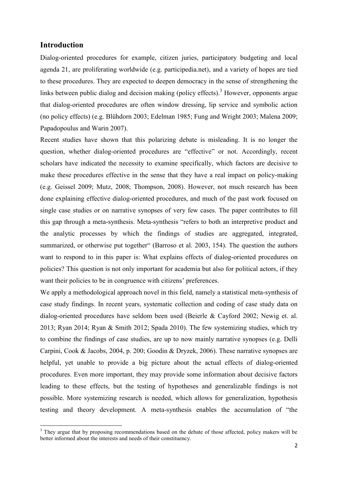## **Introduction**

**.** 

Dialog-oriented procedures for example, citizen juries, participatory budgeting and local agenda 21, are proliferating worldwide (e.g. participedia.net), and a variety of hopes are tied to these procedures. They are expected to deepen democracy in the sense of strengthening the links between public dialog and decision making (policy effects).<sup>3</sup> However, opponents argue that dialog-oriented procedures are often window dressing, lip service and symbolic action (no policy effects) (e.g. Blühdorn 2003; Edelman 1985; Fung and Wright 2003; Malena 2009; Papadopoulus and Warin 2007).

Recent studies have shown that this polarizing debate is misleading. It is no longer the question, whether dialog-oriented procedures are "effective" or not. Accordingly, recent scholars have indicated the necessity to examine specifically, which factors are decisive to make these procedures effective in the sense that they have a real impact on policy-making (e.g. Geissel 2009; Mutz, 2008; Thompson, 2008). However, not much research has been done explaining effective dialog-oriented procedures, and much of the past work focused on single case studies or on narrative synopses of very few cases. The paper contributes to fill this gap through a meta-synthesis. Meta-synthesis "refers to both an interpretive product and the analytic processes by which the findings of studies are aggregated, integrated, summarized, or otherwise put together" (Barroso et al. 2003, 154). The question the authors want to respond to in this paper is: What explains effects of dialog-oriented procedures on policies? This question is not only important for academia but also for political actors, if they want their policies to be in congruence with citizens' preferences.

We apply a methodological approach novel in this field, namely a statistical meta-synthesis of case study findings. In recent years, systematic collection and coding of case study data on dialog-oriented procedures have seldom been used (Beierle & Cayford 2002; Newig et. al. 2013; Ryan 2014; Ryan & Smith 2012; Spada 2010). The few systemizing studies, which try to combine the findings of case studies, are up to now mainly narrative synopses (e.g. Delli Carpini, Cook & Jacobs, 2004, p. 200; Goodin & Dryzek, 2006). These narrative synopses are helpful, yet unable to provide a big picture about the actual effects of dialog-oriented procedures. Even more important, they may provide some information about decisive factors leading to these effects, but the testing of hypotheses and generalizable findings is not possible. More systemizing research is needed, which allows for generalization, hypothesis testing and theory development. A meta-synthesis enables the accumulation of "the

 $3$  They argue that by proposing recommendations based on the debate of those affected, policy makers will be better informed about the interests and needs of their constituency.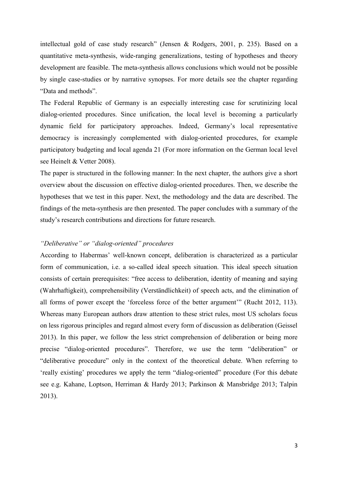intellectual gold of case study research" (Jensen & Rodgers, 2001, p. 235). Based on a quantitative meta-synthesis, wide-ranging generalizations, testing of hypotheses and theory development are feasible. The meta-synthesis allows conclusions which would not be possible by single case-studies or by narrative synopses. For more details see the chapter regarding "Data and methods".

The Federal Republic of Germany is an especially interesting case for scrutinizing local dialog-oriented procedures. Since unification, the local level is becoming a particularly dynamic field for participatory approaches. Indeed, Germany's local representative democracy is increasingly complemented with dialog-oriented procedures, for example participatory budgeting and local agenda 21 (For more information on the German local level see Heinelt & Vetter 2008).

The paper is structured in the following manner: In the next chapter, the authors give a short overview about the discussion on effective dialog-oriented procedures. Then, we describe the hypotheses that we test in this paper. Next, the methodology and the data are described. The findings of the meta-synthesis are then presented. The paper concludes with a summary of the study's research contributions and directions for future research.

#### *"Deliberative" or "dialog-oriented" procedures*

According to Habermas' well-known concept, deliberation is characterized as a particular form of communication, i.e. a so-called ideal speech situation. This ideal speech situation consists of certain prerequisites: "free access to deliberation, identity of meaning and saying (Wahrhaftigkeit), comprehensibility (Verständlichkeit) of speech acts, and the elimination of all forms of power except the 'forceless force of the better argument'" (Rucht 2012, 113). Whereas many European authors draw attention to these strict rules, most US scholars focus on less rigorous principles and regard almost every form of discussion as deliberation (Geissel 2013). In this paper, we follow the less strict comprehension of deliberation or being more precise "dialog-oriented procedures". Therefore, we use the term "deliberation" or "deliberative procedure" only in the context of the theoretical debate. When referring to 'really existing' procedures we apply the term "dialog-oriented" procedure (For this debate see e.g. Kahane, Loptson, Herriman & Hardy 2013; Parkinson & Mansbridge 2013; Talpin 2013).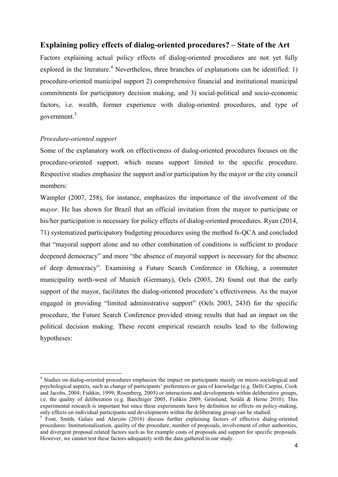## **Explaining policy effects of dialog-oriented procedures? – State of the Art**

Factors explaining actual policy effects of dialog-oriented procedures are not yet fully explored in the literature.<sup>4</sup> Nevertheless, three branches of explanations can be identified: 1) procedure-oriented municipal support 2) comprehensive financial and institutional municipal commitments for participatory decision making, and 3) social-political and socio-economic factors, i.e. wealth, former experience with dialog-oriented procedures, and type of government.<sup>5</sup>

#### *Procedure-oriented support*

**.** 

Some of the explanatory work on effectiveness of dialog-oriented procedures focuses on the procedure-oriented support, which means support limited to the specific procedure. Respective studies emphasize the support and/or participation by the mayor or the city council members:

Wampler (2007, 258), for instance, emphasizes the importance of the involvement of the *mayor*. He has shown for Brazil that an official invitation from the mayor to participate or his/her participation is necessary for policy effects of dialog-oriented procedures. Ryan (2014, 71) systematized participatory budgeting procedures using the method fs-QCA and concluded that "mayoral support alone and no other combination of conditions is sufficient to produce deepened democracy" and more "the absence of mayoral support is necessary for the absence of deep democracy". Examining a Future Search Conference in Olching, a commuter municipality north-west of Munich (Germany), Oels (2003, 28) found out that the early support of the mayor, facilitates the dialog-oriented procedure's effectiveness. As the mayor engaged in providing "limited administrative support" (Oels 2003, 243f) for the specific procedure, the Future Search Conference provided strong results that had an impact on the political decision making. These recent empirical research results lead to the following hypotheses:

<sup>&</sup>lt;sup>4</sup> Studies on dialog-oriented procedures emphasize the impact on participants mainly on micro-sociological and psychological aspects, such as change of participants' preferences or gain of knowledge (e.g. Delli Carpini, Cook and Jacobs, 2004; Fishkin, 1999; Rosenberg, 2005) or interactions and developments within deliberative groups, i.e. the quality of deliberation (e.g. Baechtiger 2005, Fishkin 2009, Grönlund, Setälä & Herne 2010). This experimental research is important but since these experiments have by definition no effects on policy-making, only effects on individual participants and developments within the deliberating group can be studied.

<sup>&</sup>lt;sup>5</sup> Font, Smith, Galais and Alarcón (2016) discuss further explaining factors of effective dialog-oriented procedures: Institutionalization, quality of the procedure, number of proposals, involvement of other authorities, and divergent proposal related factors such as for example costs of proposals and support for specific proposals. However, we cannot test these factors adequately with the data gathered in our study.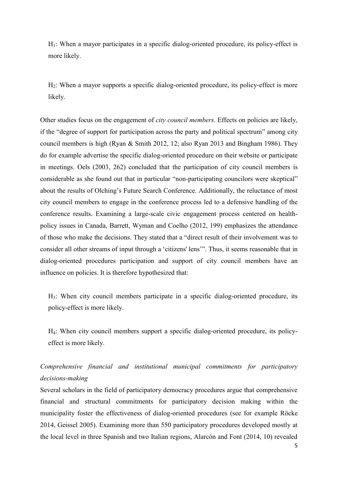$H<sub>1</sub>$ : When a mayor participates in a specific dialog-oriented procedure, its policy-effect is more likely.

 $H<sub>2</sub>$ : When a mayor supports a specific dialog-oriented procedure, its policy-effect is more likely.

Other studies focus on the engagement of *city council members*. Effects on policies are likely, if the "degree of support for participation across the party and political spectrum" among city council members is high (Ryan & Smith 2012, 12; also Ryan 2013 and Bingham 1986). They do for example advertise the specific dialog-oriented procedure on their website or participate in meetings. Oels (2003, 262) concluded that the participation of city council members is considerable as she found out that in particular "non-participating councilors were skeptical" about the results of Olching's Future Search Conference. Additionally, the reluctance of most city council members to engage in the conference process led to a defensive handling of the conference results. Examining a large-scale civic engagement process centered on healthpolicy issues in Canada, Barrett, Wyman and Coelho (2012, 199) emphasizes the attendance of those who make the decisions. They stated that a "direct result of their involvement was to consider all other streams of input through a 'citizens' lens'". Thus, it seems reasonable that in dialog-oriented procedures participation and support of city council members have an influence on policies. It is therefore hypothesized that:

H3: When city council members participate in a specific dialog-oriented procedure, its policy-effect is more likely.

H4: When city council members support a specific dialog-oriented procedure, its policyeffect is more likely.

# *Comprehensive financial and institutional municipal commitments for participatory decisions-making*

Several scholars in the field of participatory democracy procedures argue that comprehensive financial and structural commitments for participatory decision making within the municipality foster the effectiveness of dialog-oriented procedures (see for example Röcke 2014, Geissel 2005). Examining more than 550 participatory procedures developed mostly at the local level in three Spanish and two Italian regions, Alarcón and Font (2014, 10) revealed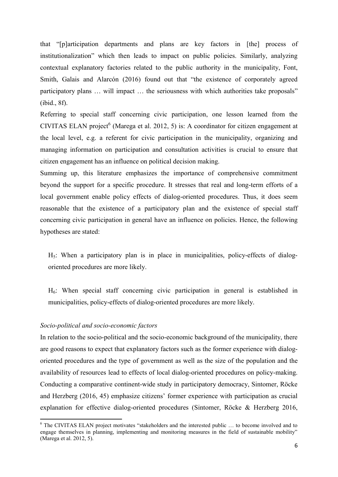that "[p]articipation departments and plans are key factors in [the] process of institutionalization" which then leads to impact on public policies. Similarly, analyzing contextual explanatory factories related to the public authority in the municipality, Font, Smith, Galais and Alarcón (2016) found out that "the existence of corporately agreed participatory plans … will impact … the seriousness with which authorities take proposals" (ibid., 8f).

Referring to special staff concerning civic participation, one lesson learned from the CIVITAS ELAN project $^6$  (Marega et al. 2012, 5) is: A coordinator for citizen engagement at the local level, e.g. a referent for civic participation in the municipality, organizing and managing information on participation and consultation activities is crucial to ensure that citizen engagement has an influence on political decision making.

Summing up, this literature emphasizes the importance of comprehensive commitment beyond the support for a specific procedure. It stresses that real and long-term efforts of a local government enable policy effects of dialog-oriented procedures. Thus, it does seem reasonable that the existence of a participatory plan and the existence of special staff concerning civic participation in general have an influence on policies. Hence, the following hypotheses are stated:

 $H<sub>5</sub>$ : When a participatory plan is in place in municipalities, policy-effects of dialogoriented procedures are more likely.

H6: When special staff concerning civic participation in general is established in municipalities, policy-effects of dialog-oriented procedures are more likely.

#### *Socio-political and socio-economic factors*

 $\overline{a}$ 

In relation to the socio-political and the socio-economic background of the municipality, there are good reasons to expect that explanatory factors such as the former experience with dialogoriented procedures and the type of government as well as the size of the population and the availability of resources lead to effects of local dialog-oriented procedures on policy-making. Conducting a comparative continent-wide study in participatory democracy, Sintomer, Röcke and Herzberg (2016, 45) emphasize citizens' former experience with participation as crucial explanation for effective dialog-oriented procedures (Sintomer, Röcke & Herzberg 2016,

<sup>&</sup>lt;sup>6</sup> The CIVITAS ELAN project motivates "stakeholders and the interested public ... to become involved and to engage themselves in planning, implementing and monitoring measures in the field of sustainable mobility" (Marega et al. 2012, 5).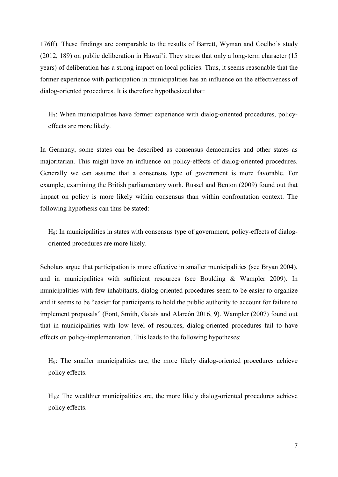176ff). These findings are comparable to the results of Barrett, Wyman and Coelho's study (2012, 189) on public deliberation in Hawai'i. They stress that only a long-term character (15 years) of deliberation has a strong impact on local policies. Thus, it seems reasonable that the former experience with participation in municipalities has an influence on the effectiveness of dialog-oriented procedures. It is therefore hypothesized that:

H7: When municipalities have former experience with dialog-oriented procedures, policyeffects are more likely.

In Germany, some states can be described as consensus democracies and other states as majoritarian. This might have an influence on policy-effects of dialog-oriented procedures. Generally we can assume that a consensus type of government is more favorable. For example, examining the British parliamentary work, Russel and Benton (2009) found out that impact on policy is more likely within consensus than within confrontation context. The following hypothesis can thus be stated:

 $H_8$ : In municipalities in states with consensus type of government, policy-effects of dialogoriented procedures are more likely.

Scholars argue that participation is more effective in smaller municipalities (see Bryan 2004), and in municipalities with sufficient resources (see Boulding & Wampler 2009). In municipalities with few inhabitants, dialog-oriented procedures seem to be easier to organize and it seems to be "easier for participants to hold the public authority to account for failure to implement proposals" (Font, Smith, Galais and Alarcón 2016, 9). Wampler (2007) found out that in municipalities with low level of resources, dialog-oriented procedures fail to have effects on policy-implementation. This leads to the following hypotheses:

H9: The smaller municipalities are, the more likely dialog-oriented procedures achieve policy effects.

 $H_{10}$ : The wealthier municipalities are, the more likely dialog-oriented procedures achieve policy effects.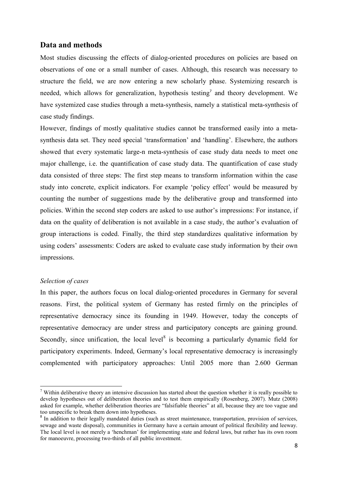## **Data and methods**

Most studies discussing the effects of dialog-oriented procedures on policies are based on observations of one or a small number of cases. Although, this research was necessary to structure the field, we are now entering a new scholarly phase. Systemizing research is needed, which allows for generalization, hypothesis testing<sup>7</sup> and theory development. We have systemized case studies through a meta-synthesis, namely a statistical meta-synthesis of case study findings.

However, findings of mostly qualitative studies cannot be transformed easily into a metasynthesis data set. They need special 'transformation' and 'handling'. Elsewhere, the authors showed that every systematic large-n meta-synthesis of case study data needs to meet one major challenge, i.e. the quantification of case study data. The quantification of case study data consisted of three steps: The first step means to transform information within the case study into concrete, explicit indicators. For example 'policy effect' would be measured by counting the number of suggestions made by the deliberative group and transformed into policies. Within the second step coders are asked to use author's impressions: For instance, if data on the quality of deliberation is not available in a case study, the author's evaluation of group interactions is coded. Finally, the third step standardizes qualitative information by using coders' assessments: Coders are asked to evaluate case study information by their own impressions.

#### *Selection of cases*

1

In this paper, the authors focus on local dialog-oriented procedures in Germany for several reasons. First, the political system of Germany has rested firmly on the principles of representative democracy since its founding in 1949. However, today the concepts of representative democracy are under stress and participatory concepts are gaining ground. Secondly, since unification, the local level<sup>8</sup> is becoming a particularly dynamic field for participatory experiments. Indeed, Germany's local representative democracy is increasingly complemented with participatory approaches: Until 2005 more than 2.600 German

<sup>&</sup>lt;sup>7</sup> Within deliberative theory an intensive discussion has started about the question whether it is really possible to develop hypotheses out of deliberation theories and to test them empirically (Rosenberg, 2007). Mutz (2008) asked for example, whether deliberation theories are "falsifiable theories" at all, because they are too vague and too unspecific to break them down into hypotheses.

<sup>&</sup>lt;sup>8</sup> In addition to their legally mandated duties (such as street maintenance, transportation, provision of services, sewage and waste disposal), communities in Germany have a certain amount of political flexibility and leeway. The local level is not merely a 'henchman' for implementing state and federal laws, but rather has its own room for manoeuvre, processing two-thirds of all public investment.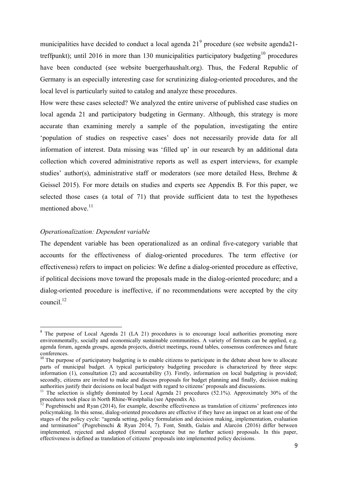municipalities have decided to conduct a local agenda  $21<sup>9</sup>$  procedure (see website agenda21treffpunkt); until 2016 in more than 130 municipalities participatory budgeting<sup>10</sup> procedures have been conducted (see website buergerhaushalt.org). Thus, the Federal Republic of Germany is an especially interesting case for scrutinizing dialog-oriented procedures, and the local level is particularly suited to catalog and analyze these procedures.

How were these cases selected? We analyzed the entire universe of published case studies on local agenda 21 and participatory budgeting in Germany. Although, this strategy is more accurate than examining merely a sample of the population, investigating the entire 'population of studies on respective cases' does not necessarily provide data for all information of interest. Data missing was 'filled up' in our research by an additional data collection which covered administrative reports as well as expert interviews, for example studies' author(s), administrative staff or moderators (see more detailed Hess, Brehme  $\&$ Geissel 2015). For more details on studies and experts see Appendix B. For this paper, we selected those cases (a total of 71) that provide sufficient data to test the hypotheses mentioned above <sup>11</sup>

#### *Operationalization: Dependent variable*

**.** 

The dependent variable has been operationalized as an ordinal five-category variable that accounts for the effectiveness of dialog-oriented procedures. The term effective (or effectiveness) refers to impact on policies: We define a dialog-oriented procedure as effective, if political decisions move toward the proposals made in the dialog-oriented procedure; and a dialog-oriented procedure is ineffective, if no recommendations were accepted by the city council  $^{12}$ 

<sup>&</sup>lt;sup>9</sup> The purpose of Local Agenda 21 (LA 21) procedures is to encourage local authorities promoting more environmentally, socially and economically sustainable communities. A variety of formats can be applied, e.g. agenda forum, agenda groups, agenda projects, district meetings, round tables, consensus conferences and future conferences.

<sup>&</sup>lt;sup>10</sup> The purpose of participatory budgeting is to enable citizens to participate in the debate about how to allocate parts of municipal budget. A typical participatory budgeting procedure is characterized by three steps: information (1), consultation (2) and accountability (3). Firstly, information on local budgeting is provided; secondly, citizens are invited to make and discuss proposals for budget planning and finally, decision making authorities justify their decisions on local budget with regard to citizens' proposals and discussions.

<sup>&</sup>lt;sup>11</sup> The selection is slightly dominated by Local Agenda 21 procedures (52.1%). Approximately 30% of the procedures took place in North Rhine-Westphalia (see Appendix A).

 $12$  Pogrebinschi and Ryan (2014), for example, describe effectiveness as translation of citizens' preferences into policymaking. In this sense, dialog-oriented procedures are effective if they have an impact on at least one of the stages of the policy cycle: "agenda setting, policy formulation and decision making, implementation, evaluation and termination" (Pogrebinschi & Ryan 2014, 7). Font, Smith, Galais and Alarcón (2016) differ between implemented, rejected and adopted (formal acceptance but no further action) proposals. In this paper, effectiveness is defined as translation of citizens' proposals into implemented policy decisions.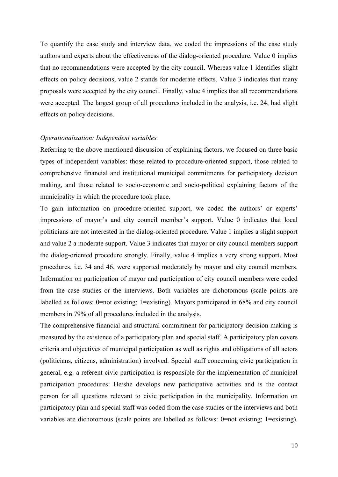To quantify the case study and interview data, we coded the impressions of the case study authors and experts about the effectiveness of the dialog-oriented procedure. Value 0 implies that no recommendations were accepted by the city council. Whereas value 1 identifies slight effects on policy decisions, value 2 stands for moderate effects. Value 3 indicates that many proposals were accepted by the city council. Finally, value 4 implies that all recommendations were accepted. The largest group of all procedures included in the analysis, i.e. 24, had slight effects on policy decisions.

#### *Operationalization: Independent variables*

Referring to the above mentioned discussion of explaining factors, we focused on three basic types of independent variables: those related to procedure-oriented support, those related to comprehensive financial and institutional municipal commitments for participatory decision making, and those related to socio-economic and socio-political explaining factors of the municipality in which the procedure took place.

To gain information on procedure-oriented support, we coded the authors' or experts' impressions of mayor's and city council member's support. Value 0 indicates that local politicians are not interested in the dialog-oriented procedure. Value 1 implies a slight support and value 2 a moderate support. Value 3 indicates that mayor or city council members support the dialog-oriented procedure strongly. Finally, value 4 implies a very strong support. Most procedures, i.e. 34 and 46, were supported moderately by mayor and city council members. Information on participation of mayor and participation of city council members were coded from the case studies or the interviews. Both variables are dichotomous (scale points are labelled as follows: 0=not existing; 1=existing). Mayors participated in 68% and city council members in 79% of all procedures included in the analysis.

The comprehensive financial and structural commitment for participatory decision making is measured by the existence of a participatory plan and special staff. A participatory plan covers criteria and objectives of municipal participation as well as rights and obligations of all actors (politicians, citizens, administration) involved. Special staff concerning civic participation in general, e.g. a referent civic participation is responsible for the implementation of municipal participation procedures: He/she develops new participative activities and is the contact person for all questions relevant to civic participation in the municipality. Information on participatory plan and special staff was coded from the case studies or the interviews and both variables are dichotomous (scale points are labelled as follows: 0=not existing; 1=existing).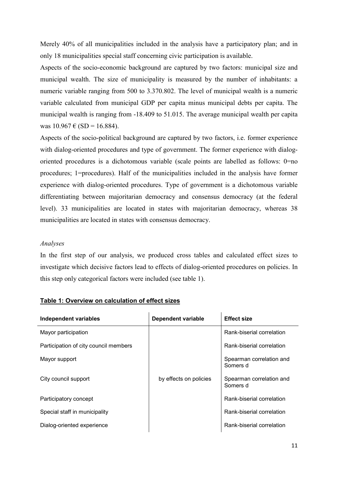Merely 40% of all municipalities included in the analysis have a participatory plan; and in only 18 municipalities special staff concerning civic participation is available.

Aspects of the socio-economic background are captured by two factors: municipal size and municipal wealth. The size of municipality is measured by the number of inhabitants: a numeric variable ranging from 500 to 3.370.802. The level of municipal wealth is a numeric variable calculated from municipal GDP per capita minus municipal debts per capita. The municipal wealth is ranging from -18.409 to 51.015. The average municipal wealth per capita was  $10.967 \text{ } \in (SD = 16.884)$ .

Aspects of the socio-political background are captured by two factors, i.e. former experience with dialog-oriented procedures and type of government. The former experience with dialogoriented procedures is a dichotomous variable (scale points are labelled as follows: 0=no procedures; 1=procedures). Half of the municipalities included in the analysis have former experience with dialog-oriented procedures. Type of government is a dichotomous variable differentiating between majoritarian democracy and consensus democracy (at the federal level). 33 municipalities are located in states with majoritarian democracy, whereas 38 municipalities are located in states with consensus democracy.

#### *Analyses*

In the first step of our analysis, we produced cross tables and calculated effect sizes to investigate which decisive factors lead to effects of dialog-oriented procedures on policies. In this step only categorical factors were included (see table 1).

| <b>Independent variables</b>          | <b>Dependent variable</b> | <b>Effect size</b>                   |  |
|---------------------------------------|---------------------------|--------------------------------------|--|
| Mayor participation                   |                           | Rank-biserial correlation            |  |
| Participation of city council members |                           | Rank-biserial correlation            |  |
| Mayor support                         | by effects on policies    | Spearman correlation and<br>Somers d |  |
| City council support                  |                           | Spearman correlation and<br>Somers d |  |
| Participatory concept                 |                           | Rank-biserial correlation            |  |
| Special staff in municipality         |                           | Rank-biserial correlation            |  |
| Dialog-oriented experience            |                           | Rank-biserial correlation            |  |

#### **Table 1: Overview on calculation of effect sizes**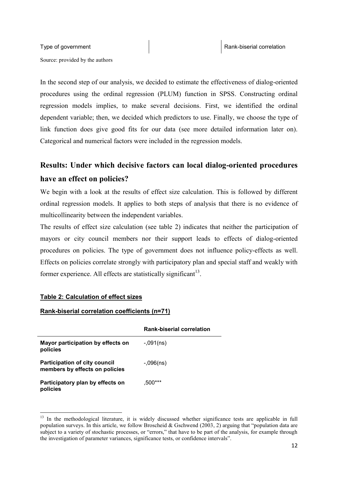Source: provided by the authors

In the second step of our analysis, we decided to estimate the effectiveness of dialog-oriented procedures using the ordinal regression (PLUM) function in SPSS. Constructing ordinal regression models implies, to make several decisions. First, we identified the ordinal dependent variable; then, we decided which predictors to use. Finally, we choose the type of link function does give good fits for our data (see more detailed information later on). Categorical and numerical factors were included in the regression models.

# **Results: Under which decisive factors can local dialog-oriented procedures have an effect on policies?**

We begin with a look at the results of effect size calculation. This is followed by different ordinal regression models. It applies to both steps of analysis that there is no evidence of multicollinearity between the independent variables.

The results of effect size calculation (see table 2) indicates that neither the participation of mayors or city council members nor their support leads to effects of dialog-oriented procedures on policies. The type of government does not influence policy-effects as well. Effects on policies correlate strongly with participatory plan and special staff and weakly with former experience. All effects are statistically significant<sup>13</sup>.

### **Table 2: Calculation of effect sizes**

**.** 

#### **Rank-biserial correlation coefficients (n=71)**

|                                                                        | <b>Rank-biserial correlation</b> |
|------------------------------------------------------------------------|----------------------------------|
| Mayor participation by effects on<br>policies                          | $-.091(ns)$                      |
| <b>Participation of city council</b><br>members by effects on policies | $-.096(ns)$                      |
| Participatory plan by effects on<br>policies                           | ,500***                          |

<sup>&</sup>lt;sup>13</sup> In the methodological literature, it is widely discussed whether significance tests are applicable in full population surveys. In this article, we follow Broscheid & Gschwend (2003, 2) arguing that "population data are subject to a variety of stochastic processes, or "errors," that have to be part of the analysis, for example through the investigation of parameter variances, significance tests, or confidence intervals".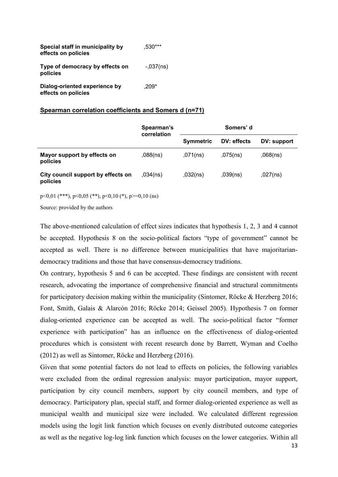| Special staff in municipality by<br>effects on policies | .530***     |
|---------------------------------------------------------|-------------|
| Type of democracy by effects on<br>policies             | $-.037(ns)$ |
| Dialog-oriented experience by<br>effects on policies    | $.209*$     |

#### **Spearman correlation coefficients and Somers d (n=71)**

|                                                | Spearman's<br>correlation | Somers' d        |             |             |  |
|------------------------------------------------|---------------------------|------------------|-------------|-------------|--|
|                                                |                           | <b>Symmetric</b> | DV: effects | DV: support |  |
| Mayor support by effects on<br>policies        | ,088(ns)                  | ,071(ns)         | $,075$ (ns) | ,068(ns)    |  |
| City council support by effects on<br>policies | ,034(ns)                  | ,032(ns)         | ,039(ns)    | ,027(ns)    |  |

p<0,01 (\*\*\*), p<0,05 (\*\*), p<0,10 (\*), p>=0,10 (ns)

Source: provided by the authors

The above-mentioned calculation of effect sizes indicates that hypothesis 1, 2, 3 and 4 cannot be accepted. Hypothesis 8 on the socio-political factors "type of government" cannot be accepted as well. There is no difference between municipalities that have majoritariandemocracy traditions and those that have consensus-democracy traditions.

On contrary, hypothesis 5 and 6 can be accepted. These findings are consistent with recent research, advocating the importance of comprehensive financial and structural commitments for participatory decision making within the municipality (Sintomer, Röcke & Herzberg 2016; Font, Smith, Galais & Alarcón 2016; Röcke 2014; Geissel 2005). Hypothesis 7 on former dialog-oriented experience can be accepted as well. The socio-political factor "former experience with participation" has an influence on the effectiveness of dialog-oriented procedures which is consistent with recent research done by Barrett, Wyman and Coelho (2012) as well as Sintomer, Röcke and Herzberg (2016).

Given that some potential factors do not lead to effects on policies, the following variables were excluded from the ordinal regression analysis: mayor participation, mayor support, participation by city council members, support by city council members, and type of democracy. Participatory plan, special staff, and former dialog-oriented experience as well as municipal wealth and municipal size were included. We calculated different regression models using the logit link function which focuses on evenly distributed outcome categories as well as the negative log-log link function which focuses on the lower categories. Within all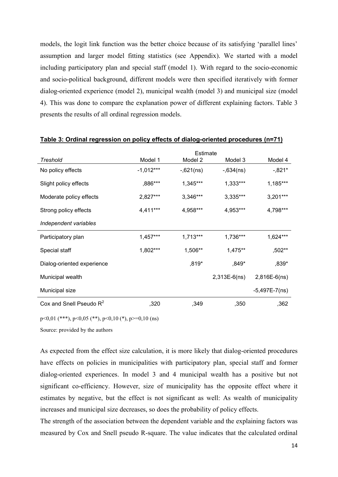models, the logit link function was the better choice because of its satisfying 'parallel lines' assumption and larger model fitting statistics (see Appendix). We started with a model including participatory plan and special staff (model 1). With regard to the socio-economic and socio-political background, different models were then specified iteratively with former dialog-oriented experience (model 2), municipal wealth (model 3) and municipal size (model 4). This was done to compare the explanation power of different explaining factors. Table 3 presents the results of all ordinal regression models.

|                            | Estimate    |             |                |                 |
|----------------------------|-------------|-------------|----------------|-----------------|
| Treshold                   | Model 1     | Model 2     | Model 3        | Model 4         |
| No policy effects          | $-1,012***$ | $-,621(ns)$ | $-0.634(ns)$   | $-0.821*$       |
| Slight policy effects      | ,886***     | 1,345***    | 1,333***       | 1,185***        |
| Moderate policy effects    | 2,827***    | 3,346***    | 3,335***       | $3,201***$      |
| Strong policy effects      | 4,411***    | 4,958***    | 4,953***       | 4,798***        |
| Independent variables      |             |             |                |                 |
| Participatory plan         | 1,457***    | 1,713***    | 1,736***       | $1,624***$      |
| Special staff              | 1,802***    | 1,506**     | $1,475**$      | ,502**          |
| Dialog-oriented experience |             | $,819*$     | ,849*          | ,839*           |
| Municipal wealth           |             |             | $2,313E-6(ns)$ | $2,816E-6(ns)$  |
| Municipal size             |             |             |                | $-5,497E-7(ns)$ |
| Cox and Snell Pseudo $R^2$ | ,320        | ,349        | ,350           | ,362            |

#### **Table 3: Ordinal regression on policy effects of dialog-oriented procedures (n=71)**

p<0,01 (\*\*\*), p<0,05 (\*\*), p<0,10 (\*), p>=0,10 (ns)

Source: provided by the authors

As expected from the effect size calculation, it is more likely that dialog-oriented procedures have effects on policies in municipalities with participatory plan, special staff and former dialog-oriented experiences. In model 3 and 4 municipal wealth has a positive but not significant co-efficiency. However, size of municipality has the opposite effect where it estimates by negative, but the effect is not significant as well: As wealth of municipality increases and municipal size decreases, so does the probability of policy effects.

The strength of the association between the dependent variable and the explaining factors was measured by Cox and Snell pseudo R-square. The value indicates that the calculated ordinal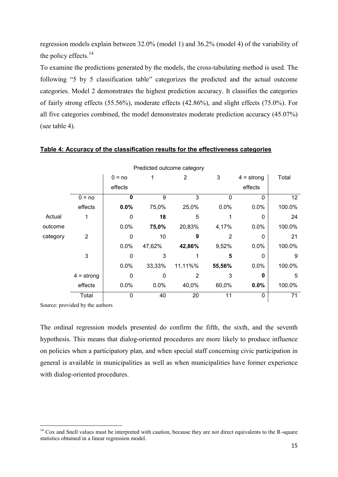regression models explain between 32.0% (model 1) and 36.2% (model 4) of the variability of the policy effects. $14$ 

To examine the predictions generated by the models, the cross-tabulating method is used. The following "5 by 5 classification table" categorizes the predicted and the actual outcome categories. Model 2 demonstrates the highest prediction accuracy. It classifies the categories of fairly strong effects (55.56%), moderate effects (42.86%), and slight effects (75.0%). For all five categories combined, the model demonstrates moderate prediction accuracy (45.07%) (see table 4).

| Predicted outcome category |                |             |              |                |                |              |                 |
|----------------------------|----------------|-------------|--------------|----------------|----------------|--------------|-----------------|
|                            |                | $0 = no$    | 1            | $\overline{2}$ | 3              | $4 =$ strong | Total           |
|                            |                | effects     |              |                |                | effects      |                 |
|                            | $0 = no$       | $\Omega$    | 9            | 3              | 0              | $\Omega$     | 12 <sub>2</sub> |
|                            | effects        | 0.0%        | 75,0%        | 25,0%          | 0.0%           | 0.0%         | 100.0%          |
| Actual                     | 1              | 0           | 18           | 5              |                | 0            | 24              |
| outcome                    |                | 0.0%        | 75,0%        | 20,83%         | 4,17%          | 0.0%         | 100.0%          |
| category                   | $\overline{2}$ | $\mathbf 0$ | 10           | 9              | $\overline{2}$ | 0            | 21              |
|                            |                | 0.0%        | 47,62%       | 42,86%         | 9,52%          | 0.0%         | 100.0%          |
|                            | 3              | $\Omega$    | 3            |                | 5              | $\Omega$     | 9               |
|                            |                | 0.0%        | 33,33%       | 11,11%%        | 55,56%         | 0.0%         | 100.0%          |
|                            | $4 =$ strong   | 0           | $\mathbf{0}$ | 2              | 3              | 0            | 5               |
|                            | effects        | 0.0%        | 0.0%         | 40,0%          | 60,0%          | 0.0%         | 100.0%          |
|                            | Total          | $\Omega$    | 40           | 20             | 11             | 0            | 71              |

#### **Table 4: Accuracy of the classification results for the effectiveness categories**

Source: provided by the authors

**.** 

The ordinal regression models presented do confirm the fifth, the sixth, and the seventh hypothesis. This means that dialog-oriented procedures are more likely to produce influence on policies when a participatory plan, and when special staff concerning civic participation in general is available in municipalities as well as when municipalities have former experience with dialog-oriented procedures.

 $14$  Cox and Snell values must be interpreted with caution, because they are not direct equivalents to the R-square statistics obtained in a linear regression model.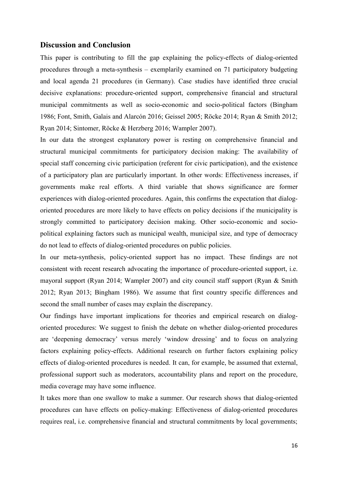### **Discussion and Conclusion**

This paper is contributing to fill the gap explaining the policy-effects of dialog-oriented procedures through a meta-synthesis – exemplarily examined on 71 participatory budgeting and local agenda 21 procedures (in Germany). Case studies have identified three crucial decisive explanations: procedure-oriented support, comprehensive financial and structural municipal commitments as well as socio-economic and socio-political factors (Bingham 1986; Font, Smith, Galais and Alarcón 2016; Geissel 2005; Röcke 2014; Ryan & Smith 2012; Ryan 2014; Sintomer, Röcke & Herzberg 2016; Wampler 2007).

In our data the strongest explanatory power is resting on comprehensive financial and structural municipal commitments for participatory decision making: The availability of special staff concerning civic participation (referent for civic participation), and the existence of a participatory plan are particularly important. In other words: Effectiveness increases, if governments make real efforts. A third variable that shows significance are former experiences with dialog-oriented procedures. Again, this confirms the expectation that dialogoriented procedures are more likely to have effects on policy decisions if the municipality is strongly committed to participatory decision making. Other socio-economic and sociopolitical explaining factors such as municipal wealth, municipal size, and type of democracy do not lead to effects of dialog-oriented procedures on public policies.

In our meta-synthesis, policy-oriented support has no impact. These findings are not consistent with recent research advocating the importance of procedure-oriented support, i.e. mayoral support (Ryan 2014; Wampler 2007) and city council staff support (Ryan & Smith 2012; Ryan 2013; Bingham 1986). We assume that first country specific differences and second the small number of cases may explain the discrepancy.

Our findings have important implications for theories and empirical research on dialogoriented procedures: We suggest to finish the debate on whether dialog-oriented procedures are 'deepening democracy' versus merely 'window dressing' and to focus on analyzing factors explaining policy-effects. Additional research on further factors explaining policy effects of dialog-oriented procedures is needed. It can, for example, be assumed that external, professional support such as moderators, accountability plans and report on the procedure, media coverage may have some influence.

It takes more than one swallow to make a summer. Our research shows that dialog-oriented procedures can have effects on policy-making: Effectiveness of dialog-oriented procedures requires real, i.e. comprehensive financial and structural commitments by local governments;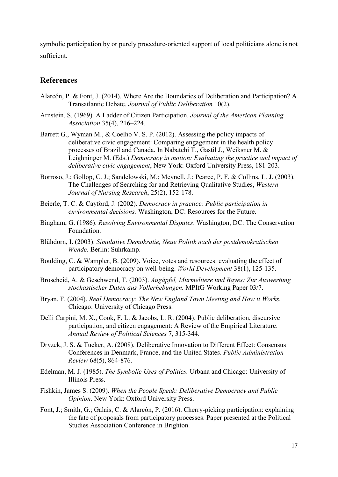symbolic participation by or purely procedure-oriented support of local politicians alone is not sufficient.

## **References**

- Alarcón, P. & Font, J. (2014). Where Are the Boundaries of Deliberation and Participation? A Transatlantic Debate. *Journal of Public Deliberation* 10(2).
- Arnstein, S. (1969). A Ladder of Citizen Participation. *Journal of the American Planning Association* 35(4), 216–224.
- Barrett G., Wyman M., & Coelho V. S. P. (2012). Assessing the policy impacts of deliberative civic engagement: Comparing engagement in the health policy processes of Brazil and Canada. In Nabatchi T., Gastil J., Weiksner M. & Leighninger M. (Eds.) *Democracy in motion: Evaluating the practice and impact of deliberative civic engagement*, New York: Oxford University Press, 181-203.
- Borroso, J.; Gollop, C. J.; Sandelowski, M.; Meynell, J.; Pearce, P. F. & Collins, L. J. (2003). The Challenges of Searching for and Retrieving Qualitative Studies, *Western Journal of Nursing Research*, 25(2), 152-178.
- Beierle, T. C. & Cayford, J. (2002). *Democracy in practice: Public participation in environmental decisions.* Washington, DC: Resources for the Future.
- Bingham, G. (1986). *Resolving Environmental Disputes*. Washington, DC: The Conservation Foundation.
- Blühdorn, I. (2003). *Simulative Demokratie, Neue Politik nach der postdemokratischen Wende*. Berlin: Suhrkamp.
- Boulding, C. & Wampler, B. (2009). Voice, votes and resources: evaluating the effect of participatory democracy on well-being. *World Development* 38(1), 125-135.
- Broscheid, A. & Geschwend, T. (2003). *Augäpfel, Murmeltiere und Bayes: Zur Auswertung stochastischer Daten aus Vollerhebungen.* MPIfG Working Paper 03/7.
- Bryan, F. (2004). *Real Democracy: The New England Town Meeting and How it Works.* Chicago: University of Chicago Press.
- Delli Carpini, M. X., Cook, F. L. & Jacobs, L. R. (2004). Public deliberation, discursive participation, and citizen engagement: A Review of the Empirical Literature. *Annual Review of Political Sciences* 7, 315-344.
- Dryzek, J. S. & Tucker, A. (2008). Deliberative Innovation to Different Effect: Consensus Conferences in Denmark, France, and the United States. *Public Administration Review* 68(5), 864-876.
- Edelman, M. J. (1985). *The Symbolic Uses of Politics.* Urbana and Chicago: University of Illinois Press.
- Fishkin, James S. (2009). *When the People Speak: Deliberative Democracy and Public Opinion*. New York: Oxford University Press.
- Font, J.; Smith, G.; Galais, C. & Alarcón, P. (2016). Cherry-picking participation: explaining the fate of proposals from participatory processes. Paper presented at the Political Studies Association Conference in Brighton.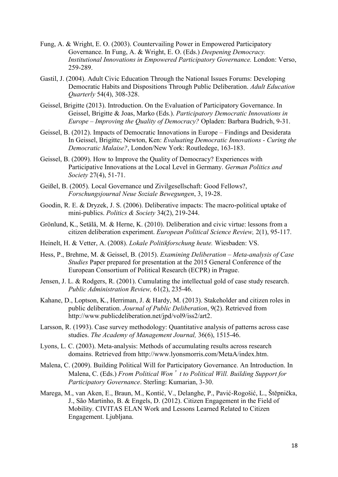- Fung, A. & Wright, E. O. (2003). Countervailing Power in Empowered Participatory Governance. In Fung, A. & Wright, E. O. (Eds.) *Deepening Democracy. Institutional Innovations in Empowered Participatory Governance.* London: Verso, 259-289.
- Gastil, J. (2004). Adult Civic Education Through the National Issues Forums: Developing Democratic Habits and Dispositions Through Public Deliberation. *Adult Education Quarterly* 54(4), 308-328.
- Geissel, Brigitte (2013). Introduction. On the Evaluation of Participatory Governance. In Geissel, Brigitte & Joas, Marko (Eds.). *Participatory Democratic Innovations in Europe – Improving the Quality of Democracy?* Opladen: Barbara Budrich, 9-31.
- Geissel, B. (2012). Impacts of Democratic Innovations in Europe Findings and Desiderata In Geissel, Brigitte; Newton, Ken: *Evaluating Democratic Innovations - Curing the Democratic Malaise?*, London/New York: Routledege, 163-183.
- Geissel, B. (2009). How to Improve the Quality of Democracy? Experiences with Participative Innovations at the Local Level in Germany. *German Politics and Society* 27(4), 51-71.
- Geißel, B. (2005). Local Governance und Zivilgesellschaft: Good Fellows?, *Forschungsjournal Neue Soziale Bewegungen*, 3, 19-28.
- Goodin, R. E. & Dryzek, J. S. (2006). Deliberative impacts: The macro-political uptake of mini-publics. *Politics & Society* 34(2), 219-244.
- Grönlund, K., Setälä, M. & Herne, K. (2010). Deliberation and civic virtue: lessons from a citizen deliberation experiment. *European Political Science Review,* 2(1), 95-117.
- Heinelt, H. & Vetter, A. (2008). *Lokale Politikforschung heute.* Wiesbaden: VS.
- Hess, P., Brehme, M. & Geissel, B. (2015). *Examining Deliberation – Meta-analysis of Case Studies* Paper prepared for presentation at the 2015 General Conference of the European Consortium of Political Research (ECPR) in Prague.
- Jensen, J. L. & Rodgers, R. (2001). Cumulating the intellectual gold of case study research. *Public Administration Review,* 61(2), 235-46.
- Kahane, D., Loptson, K., Herriman, J. & Hardy, M. (2013). Stakeholder and citizen roles in public deliberation. *Journal of Public Deliberation*, 9(2). Retrieved from [http://www.publicdeliberation.net/jpd/vol9/iss2/art2.](http://www.publicdeliberation.net/jpd/vol9/iss2/art2)
- Larsson, R. (1993). Case survey methodology: Quantitative analysis of patterns across case studies. *The Academy of Management Journal,* 36(6), 1515-46.
- Lyons, L. C. (2003). Meta-analysis: Methods of accumulating results across research domains. Retrieved from [http://www.lyonsmorris.com/MetaA/index.htm.](http://www.lyonsmorris.com/MetaA/index.htm)
- Malena, C. (2009). Building Political Will for Participatory Governance. An Introduction. In Malena, C. (Eds.) *From Political Won*'*t to Political Will. Building Support for Participatory Governance*. Sterling: Kumarian, 3-30.
- Marega, M., van Aken, E., Braun, M., Kontić, V., Delanghe, P., Pavić-Rogošić, L., Štěpnička, J., São Martinho, B. & Engels, D. (2012). Citizen Engagement in the Field of Mobility. CIVITAS ELAN Work and Lessons Learned Related to Citizen Engagement. Ljubljana.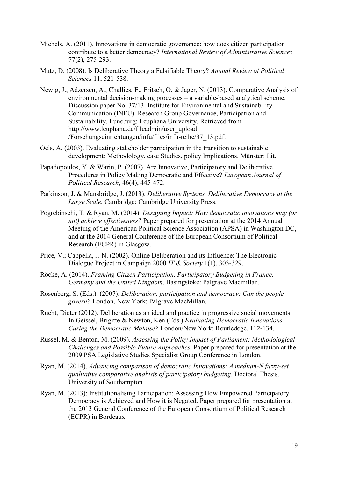- Michels, A. (2011). Innovations in democratic governance: how does citizen participation contribute to a better democracy? *International Review of Administrative Sciences* 77(2), 275-293.
- Mutz, D. (2008). Is Deliberative Theory a Falsifiable Theory? *Annual Review of Political Sciences* 11, 521-538.
- Newig, J., Adzersen, A., Challies, E., Fritsch, O. & Jager, N. (2013). Comparative Analysis of environmental decision-making processes – a variable-based analytical scheme. Discussion paper No. 37/13. Institute for Environmental and Sustainability Communication (INFU). Research Group Governance, Participation and Sustainability. Luneburg: Leuphana University. Retrieved from [http://www.leuphana.de/fileadmin/user\\_upload](http://www.leuphana.de/fileadmin/user_upload%20/Forschungseinrichtungen/infu/files/infu-reihe/37_13.pdf)  [/Forschungseinrichtungen/infu/files/infu-reihe/37\\_13.pdf.](http://www.leuphana.de/fileadmin/user_upload%20/Forschungseinrichtungen/infu/files/infu-reihe/37_13.pdf)
- Oels, A. (2003). Evaluating stakeholder participation in the transition to sustainable development: Methodology, case Studies, policy Implications. Münster: Lit.
- Papadopoulos, Y. & Warin, P. (2007). Are Innovative, Participatory and Deliberative Procedures in Policy Making Democratic and Effective? *European Journal of Political Research*, 46(4), 445-472.
- Parkinson, J. & Mansbridge, J. (2013). *Deliberative Systems. Deliberative Democracy at the Large Scale.* Cambridge: Cambridge University Press.
- Pogrebinschi, T. & Ryan, M. (2014). *Designing Impact: How democratic innovations may (or not) achieve effectiveness?* Paper prepared for presentation at the 2014 Annual Meeting of the American Political Science Association (APSA) in Washington DC, and at the 2014 General Conference of the European Consortium of Political Research (ECPR) in Glasgow.
- Price, V.; Cappella, J. N. (2002). Online Deliberation and its Influence: The Electronic Dialogue Project in Campaign 2000 *IT & Society* 1(1), 303-329.
- Röcke, A. (2014). *Framing Citizen Participation. Participatory Budgeting in France, Germany and the United Kingdom*. Basingstoke: Palgrave Macmillan.
- Rosenberg, S. (Eds.). (2007). *Deliberation, participation and democracy: Can the people govern?* London, New York: Palgrave MacMillan.
- Rucht, Dieter (2012). Deliberation as an ideal and practice in progressive social movements. In Geissel, Brigitte & Newton, Ken (Eds.) *Evaluating Democratic Innovations - Curing the Democratic Malaise?* London/New York: Routledege, 112-134.
- Russel, M. & Benton, M. (2009). *Assessing the Policy Impact of Parliament: Methodological Challenges and Possible Future Approaches.* Paper prepared for presentation at the 2009 PSA Legislative Studies Specialist Group Conference in London.
- Ryan, M. (2014). *Advancing comparison of democratic Innovations: A medium-N fuzzy-set qualitative comparative analysis of participatory budgeting*. Doctoral Thesis. University of Southampton.
- Ryan, M. (2013): Institutionalising Participation: Assessing How Empowered Participatory Democracy is Achieved and How it is Negated. Paper prepared for presentation at the 2013 General Conference of the European Consortium of Political Research (ECPR) in Bordeaux.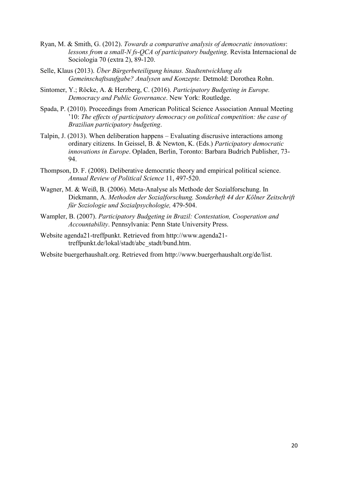- Ryan, M. & Smith, G. (2012). *Towards a comparative analysis of democratic innovations*: *lessons from a small-N fs-QCA of participatory budgeting*. Revista Internacional de Sociologia 70 (extra 2), 89-120.
- Selle, Klaus (2013). *Über Bürgerbeteiligung hinaus. Stadtentwicklung als Gemeinschaftsaufgabe? Analysen und Konzepte.* Detmold: Dorothea Rohn.
- Sintomer, Y.; Röcke, A. & Herzberg, C. (2016). *Participatory Budgeting in Europe. Democracy and Public Governance*. New York: Routledge.
- Spada, P. (2010). Proceedings from American Political Science Association Annual Meeting '10: *The effects of participatory democracy on political competition: the case of Brazilian participatory budgeting*.
- Talpin, J. (2013). When deliberation happens Evaluating discrusive interactions among ordinary citizens. In Geissel, B. & Newton, K. (Eds.) *Participatory democratic innovations in Europe*. Opladen, Berlin, Toronto: Barbara Budrich Publisher, 73- 94.
- Thompson, D. F. (2008). Deliberative democratic theory and empirical political science. *Annual Review of Political Science* 11, 497-520.
- Wagner, M. & Weiß, B. (2006). Meta-Analyse als Methode der Sozialforschung. In Diekmann, A. *Methoden der Sozialforschung. Sonderheft 44 der Kölner Zeitschrift für Soziologie und Sozialpsychologie,* 479-504.
- Wampler, B. (2007). *Participatory Budgeting in Brazil: Contestation, Cooperation and Accountability*. Pennsylvania: Penn State University Press.
- Website agenda21-treffpunkt. Retrieved from http://www.agenda21 treffpunkt.de/lokal/stadt/abc\_stadt/bund.htm.

Website buergerhaushalt.org. Retrieved from http://www.buergerhaushalt.org/de/list.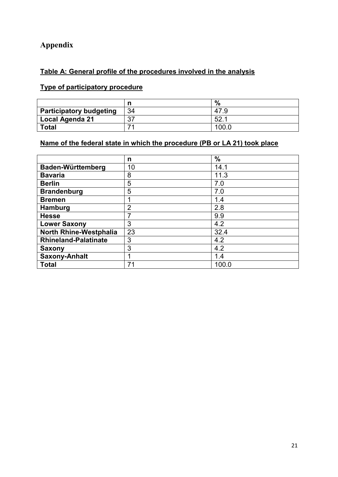# **Appendix**

# **Table A: General profile of the procedures involved in the analysis**

# **Type of participatory procedure**

|                                |    | %     |
|--------------------------------|----|-------|
| <b>Participatory budgeting</b> | 34 | 47.9  |
| <b>Local Agenda 21</b>         | 37 | 52.   |
| <b>Total</b>                   | ァ  | 100.C |

# **Name of the federal state in which the procedure (PB or LA 21) took place**

|                             | n              | $\frac{0}{0}$ |
|-----------------------------|----------------|---------------|
| Baden-Württemberg           | 10             | 14.1          |
| <b>Bavaria</b>              | 8              | 11.3          |
| <b>Berlin</b>               | 5              | 7.0           |
| <b>Brandenburg</b>          | 5              | 7.0           |
| <b>Bremen</b>               |                | 1.4           |
| Hamburg                     | $\overline{2}$ | 2.8           |
| <b>Hesse</b>                | 7              | 9.9           |
| <b>Lower Saxony</b>         | 3              | 4.2           |
| North Rhine-Westphalia      | 23             | 32.4          |
| <b>Rhineland-Palatinate</b> | 3              | 4.2           |
| <b>Saxony</b>               | 3              | 4.2           |
| <b>Saxony-Anhalt</b>        | 1              | 1.4           |
| <b>Total</b>                | 71             | 100.0         |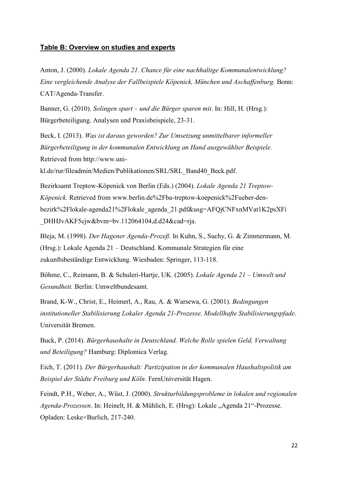#### **Table B: Overview on studies and experts**

Anton, J. (2000). *Lokale Agenda 21. Chance für eine nachhaltige Kommunalentwicklung? Eine vergleichende Analyse der Fallbeispiele Köpenick, München und Aschaffenburg.* Bonn: CAT/Agenda-Transfer.

Banner, G. (2010). *Solingen spart – und die Bürger sparen mit*. In: Hill, H. (Hrsg.): Bürgerbeteiligung. Analysen und Praxisbeispiele, 23-31.

Beck, I. (2013). *Was ist daraus geworden? Zur Umsetzung unmittelbarer informeller Bürgerbeteiligung in der kommunalen Entwicklung an Hand ausgewählter Beispiele.* Retrieved from [http://www.uni-](http://www.uni-kl.de/rur/fileadmin/Medien/Publikationen/SRL/SRL_Band40_Beck.pdf)

[kl.de/rur/fileadmin/Medien/Publikationen/SRL/SRL\\_Band40\\_Beck.pdf.](http://www.uni-kl.de/rur/fileadmin/Medien/Publikationen/SRL/SRL_Band40_Beck.pdf)

Bezirksamt Treptow-Köpenick von Berlin (Eds.) (2004). *Lokale Agenda 21 Treptow-Köpenick.* Retrieved from www.berlin.de%2Fba-treptow-koepenick%2Fueber-denbezirk%2Flokale-agenda21%2Flokale\_agenda\_21.pdf&usg=AFQjCNFxnMVat1K2psXFi DHHJvAKF5cjw&bvm=bv.112064104,d.d24&cad=rja.

Bleja, M. (1998). *Der Hagener Agenda-Prozeß*. In Kuhn, S., Suchy, G. & Zimmermann, M. (Hrsg.): Lokale Agenda 21 – Deutschland. Kommunale Strategien für eine zukunftsbeständige Entwicklung. Wiesbaden: Springer, 113-118.

Böhme, C., Reimann, B. & Schuleri-Hartje, UK. (2005). *Lokale Agenda 21 – Umwelt und Gesundheit.* Berlin: Umweltbundesamt.

Brand, K-W., Christ, E., Heimerl, A., Rau, A. & Warsewa, G. (2001). *Bedingungen institutioneller Stabilisierung Lokaler Agenda 21-Prozesse. Modellhafte Stabilisierungspfade*. Universität Bremen.

Buck, P. (2014). *Bürgerhaushalte in Deutschland. Welche Rolle spielen Geld, Verwaltung und Beteiligung?* Hamburg: Diplomica Verlag.

Eich, T. (2011). *Der Bürgerhaushalt: Partizipation in der kommunalen Haushaltspolitik am Beispiel der Städte Freiburg und Köln.* FernUniversität Hagen.

Feindt, P.H., Weber, A., Wüst, J. (2000). *Strukturbildungsprobleme in lokalen und regionalen Agenda-Prozessen*. In: Heinelt, H. & Mühlich, E. (Hrsg): Lokale "Agenda 21"-Prozesse. Opladen: Leske+Burlich, 217-240.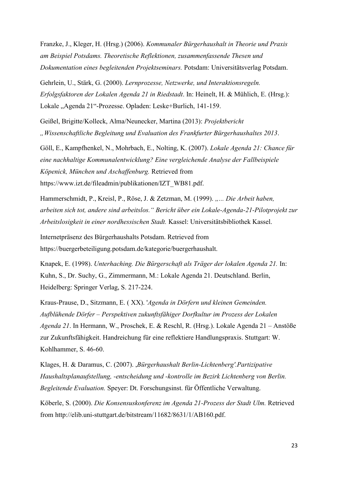Franzke, J., Kleger, H. (Hrsg.) (2006). *Kommunaler Bürgerhaushalt in Theorie und Praxis am Beispiel Potsdams. Theoretische Reflektionen, zusammenfassende Thesen und Dokumentation eines begleitenden Projektseminars.* Potsdam: Universitätsverlag Potsdam.

Gehrlein, U., Stärk, G. (2000). *Lernprozesse, Netzwerke, und Interaktionsregeln. Erfolgsfaktoren der Lokalen Agenda 21 in Riedstadt*. In: Heinelt, H. & Mühlich, E. (Hrsg.): Lokale "Agenda 21"-Prozesse. Opladen: Leske+Burlich, 141-159.

Geißel, Brigitte/Kolleck, Alma/Neunecker, Martina (2013): *Projektbericht "Wissenschaftliche Begleitung und Evaluation des Frankfurter Bürgerhaushaltes 2013*.

Göll, E., Kampfhenkel, N., Mohrbach, E., Nolting, K. (2007). *Lokale Agenda 21: Chance für eine nachhaltige Kommunalentwicklung? Eine vergleichende Analyse der Fallbeispiele Köpenick, München und Aschaffenburg.* Retrieved from [https://www.izt.de/fileadmin/publikationen/IZT\\_WB81.pdf.](https://www.izt.de/fileadmin/publikationen/IZT_WB81.pdf)

Hammerschmidt, P., Kreisl, P., Röse, J. & Zetzman, M. (1999). *..... Die Arbeit haben, arbeiten sich tot, andere sind arbeitslos." Bericht über ein Lokale-Agenda-21-Pilotprojekt zur Arbeitslosigkeit in einer nordhessischen Stadt.* Kassel: Universitätsbibliothek Kassel.

Internetpräsenz des Bürgerhaushalts Potsdam. Retrieved from https://buergerbeteiligung.potsdam.de/kategorie/buergerhaushalt.

Knapek, E. (1998). *Unterhaching. Die Bürgerschaft als Träger der lokalen Agenda 21.* In: Kuhn, S., Dr. Suchy, G., Zimmermann, M.: Lokale Agenda 21. Deutschland. Berlin, Heidelberg: Springer Verlag, S. 217-224.

Kraus-Prause, D., Sitzmann, E. ( XX). '*Agenda in Dörfern und kleinen Gemeinden. Aufblühende Dörfer – Perspektiven zukunftsfähiger Dorfkultur im Prozess der Lokalen Agenda 21*. In Hermann, W., Proschek, E. & Reschl, R. (Hrsg.). Lokale Agenda 21 – Anstöße zur Zukunftsfähigkeit. Handreichung für eine reflektiere Handlungspraxis. Stuttgart: W. Kohlhammer, S. 46-60.

Klages, H. & Daramus, C. (2007). ,*Bürgerhaushalt Berlin-Lichtenberg'.Partizipative Haushaltsplanaufstellung, -entscheidung und -kontrolle im Bezirk Lichtenberg von Berlin. Begleitende Evaluation.* Speyer: Dt. Forschungsinst. für Öffentliche Verwaltung.

Köberle, S. (2000). *Die Konsensuskonferenz im Agenda 21-Prozess der Stadt Ulm.* Retrieved from [http://elib.uni-stuttgart.de/bitstream/11682/8631/1/AB160.pdf.](http://elib.uni-stuttgart.de/bitstream/11682/8631/1/AB160.pdf)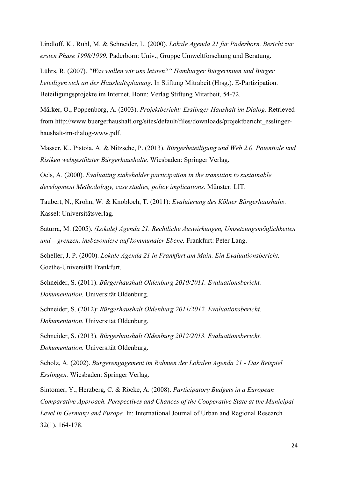Lindloff, K., Rühl, M. & Schneider, L. (2000). *Lokale Agenda 21 für Paderborn. Bericht zur ersten Phase 1998/1999.* Paderborn: Univ., Gruppe Umweltforschung und Beratung.

Lührs, R. (2007). *''Was wollen wir uns leisten?" Hamburger Bürgerinnen und Bürger beteiligen sich an der Haushaltsplanung*. In Stiftung Mitrabeit (Hrsg.). E-Partizipation. Beteiligungsprojekte im Internet. Bonn: Verlag Stiftung Mitarbeit, 54-72.

Märker, O., Poppenborg, A. (2003). *Projektbericht: Esslinger Haushalt im Dialog.* Retrieved from [http://www.buergerhaushalt.org/sites/default/files/downloads/projektbericht\\_esslinger](http://www.buergerhaushalt.org/sites/default/files/downloads/projektbericht_esslinger-haushalt-im-dialog-www.pdf)[haushalt-im-dialog-www.pdf.](http://www.buergerhaushalt.org/sites/default/files/downloads/projektbericht_esslinger-haushalt-im-dialog-www.pdf)

Masser, K., Pistoia, A. & Nitzsche, P. (2013). *Bürgerbeteiligung und Web 2.0. Potentiale und Risiken webgestützter Bürgerhaushalte*. Wiesbaden: Springer Verlag.

Oels, A. (2000). *Evaluating stakeholder participation in the transition to sustainable development Methodology, case studies, policy implications.* Münster: LIT.

Taubert, N., Krohn, W. & Knobloch, T. (2011): *Evaluierung des Kölner Bürgerhaushalts*. Kassel: Universitätsverlag.

Saturra, M. (2005). *(Lokale) Agenda 21. Rechtliche Auswirkungen, Umsetzungsmöglichkeiten und – grenzen, insbesondere auf kommunaler Ebene.* Frankfurt: Peter Lang.

Scheller, J. P. (2000). *Lokale Agenda 21 in Frankfurt am Main. Ein Evaluationsbericht.*  Goethe-Universität Frankfurt.

Schneider, S. (2011). *Bürgerhaushalt Oldenburg 2010/2011. Evaluationsbericht. Dokumentation.* Universität Oldenburg.

Schneider, S. (2012): *Bürgerhaushalt Oldenburg 2011/2012. Evaluationsbericht. Dokumentation.* Universität Oldenburg.

Schneider, S. (2013). *Bürgerhaushalt Oldenburg 2012/2013. Evaluationsbericht. Dokumentation.* Universität Oldenburg.

Scholz, A. (2002). *Bürgerengagement im Rahmen der Lokalen Agenda 21 - Das Beispiel Esslingen.* Wiesbaden: Springer Verlag.

Sintomer, Y., Herzberg, C. & Röcke, A. (2008). *Participatory Budgets in a European Comparative Approach. Perspectives and Chances of the Cooperative State at the Municipal Level in Germany and Europe.* In: International Journal of Urban and Regional Research 32(1), 164-178.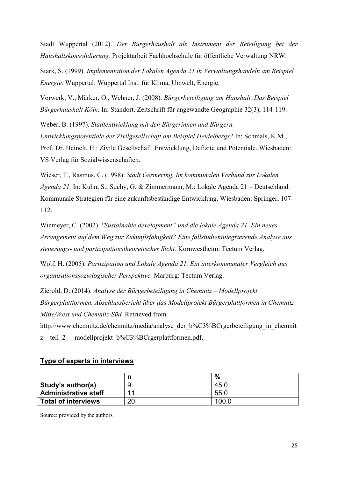Stadt Wuppertal (2012). *Der Bürgerhaushalt als Instrument der Beteiligung bei der Haushaltskonsolidierung.* Projektarbeit Fachhochschule für öffentliche Verwaltung NRW.

Stark, S. (1999). *Implementation der Lokalen Agenda 21 in Verwaltungshandeln am Beispiel Energie.* Wuppertal: Wuppertal Inst. für Klima, Umwelt, Energie.

Vorwerk, V., Märker, O., Wehner, J. (2008). *Bürgerbeteiligung am Haushalt. Das Beispiel Bürgerhaushalt Köln.* In: Standort. Zeitschrift für angewandte Geographie 32(3), 114-119.

Weber, B. (1997). *Stadtentwicklung mit den Bürgerinnen und Bürgern. Entwicklungspotentiale der Zivilgesellschaft am Beispiel Heidelbergs?* In: Schmals, K.M., Prof. Dr. Heinelt, H.: Zivile Gesellschaft. Entwicklung, Defizite und Potentiale. Wiesbaden: VS Verlag für Sozialwissenschaften.

Wieser, T., Rasmus, C. (1998). *Stadt Germering. Im kommunalen Verbund zur Lokalen Agenda 21.* In: Kuhn, S., Suchy, G. & Zimmermann, M.: Lokale Agenda 21 – Deutschland. Kommunale Strategien für eine zukunftsbeständige Entwicklung. Wiesbaden: Springer, 107- 112.

Wiemeyer, C. (2002). *''Sustainable development" und die lokale Agenda 21. Ein neues Arrangement auf dem Weg zur Zukunftsfähigkeit? Eine fallstudienintegrierende Analyse aus steuerungs- und partizipationstheoretischer Sicht.* Kornwestheim: Tectum Verlag.

Wolf, H. (2005). *Partizipation und Lokale Agenda 21. Ein interkommunaler Vergleich aus organisationssoziologischer Perspektive.* Marburg: Tectum Verlag.

Zierold, D. (2014). *Analyse der Bürgerbeteiligung in Chemnitz – Modellprojekt Bürgerplattformen. Abschlussbericht über das Modellprojekt Bürgerplattformen in Chemnitz Mitte/West und Chemnitz-Süd.* Retrieved from

[http://www.chemnitz.de/chemnitz/media/analyse\\_der\\_b%C3%BCrgerbeteiligung\\_in\\_chemnit](http://www.chemnitz.de/chemnitz/media/analyse_der_b%C3%BCrgerbeteiligung_in_chemnitz__teil_2_-_modellprojekt_b%C3%BCrgerplattformen.pdf) z\_teil\_2\_-\_modellprojekt\_b%C3%BCrgerplattformen.pdf.

#### **Type of experts in interviews**

|                             | n  | $\%$             |
|-----------------------------|----|------------------|
| Study's author(s)           |    | 45.0             |
| <b>Administrative staff</b> | ◢  | 55.0             |
| <b>Total of interviews</b>  | 20 | 100 <sub>o</sub> |

Source: provided by the authors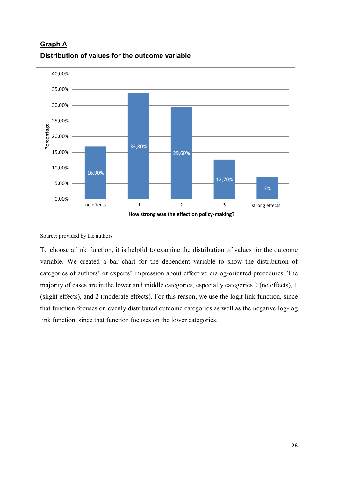

**Graph A Distribution of values for the outcome variable**

Source: provided by the authors

To choose a link function, it is helpful to examine the distribution of values for the outcome variable. We created a bar chart for the dependent variable to show the distribution of categories of authors' or experts' impression about effective dialog-oriented procedures. The majority of cases are in the lower and middle categories, especially categories 0 (no effects), 1 (slight effects), and 2 (moderate effects). For this reason, we use the logit link function, since that function focuses on evenly distributed outcome categories as well as the negative log-log link function, since that function focuses on the lower categories.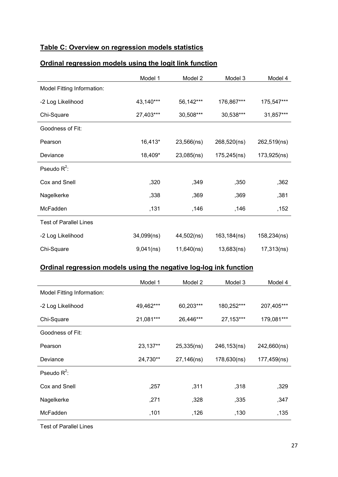## **Table C: Overview on regression models statistics**

## **Ordinal regression models using the logit link function**

|                               | Model 1    | Model 2    | Model 3     | Model 4     |
|-------------------------------|------------|------------|-------------|-------------|
| Model Fitting Information:    |            |            |             |             |
| -2 Log Likelihood             | 43,140***  | 56,142***  | 176,867***  | 175,547***  |
| Chi-Square                    | 27,403***  | 30,508***  | 30,538***   | 31,857***   |
| Goodness of Fit:              |            |            |             |             |
| Pearson                       | 16,413*    | 23,566(ns) | 268,520(ns) | 262,519(ns) |
| Deviance                      | 18,409*    | 23,085(ns) | 175,245(ns) | 173,925(ns) |
| Pseudo $R^2$ :                |            |            |             |             |
| Cox and Snell                 | ,320       | ,349       | ,350        | ,362        |
| Nagelkerke                    | ,338       | ,369       | ,369        | ,381        |
| McFadden                      | ,131       | ,146       | ,146        | ,152        |
| <b>Test of Parallel Lines</b> |            |            |             |             |
| -2 Log Likelihood             | 34,099(ns) | 44,502(ns) | 163,184(ns) | 158,234(ns) |
| Chi-Square                    | 9,041(ns)  | 11,640(ns) | 13,683(ns)  | 17,313(ns)  |

# **Ordinal regression models using the negative log-log ink function**

|                            | Model 1   | Model 2    | Model 3     | Model 4     |
|----------------------------|-----------|------------|-------------|-------------|
| Model Fitting Information: |           |            |             |             |
| -2 Log Likelihood          | 49,462*** | 60,203***  | 180,252***  | 207,405***  |
| Chi-Square                 | 21,081*** | 26,446***  | 27,153***   | 179,081***  |
| Goodness of Fit:           |           |            |             |             |
| Pearson                    | 23,137**  | 25,335(ns) | 246,153(ns) | 242,660(ns) |
| Deviance                   | 24,730**  | 27,146(ns) | 178,630(ns) | 177,459(ns) |
| Pseudo $R^2$ :             |           |            |             |             |
| Cox and Snell              | ,257      | ,311       | ,318        | ,329        |
| Nagelkerke                 | ,271      | ,328       | ,335        | ,347        |
| McFadden                   | ,101      | ,126       | ,130        | ,135        |

Test of Parallel Lines